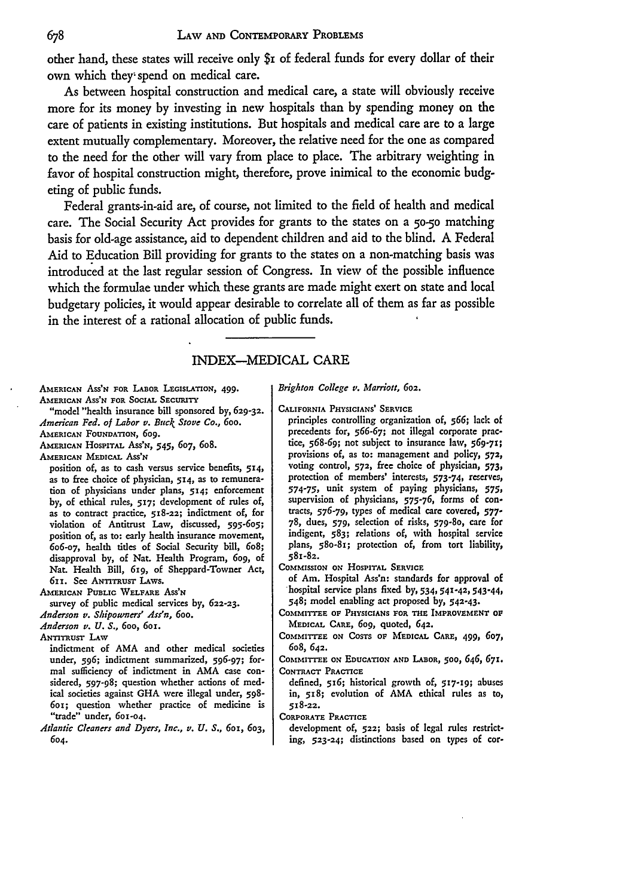other hand, these states will receive only \$i of federal funds for every dollar of their own which they- spend on medical care.

As between hospital construction and medical care, a state will obviously receive more for its money **by** investing in new hospitals than **by** spending money on the care of patients in existing institutions. But hospitals and medical care are to a large extent mutually complementary. Moreover, the relative need for the one as compared to the need for the other will vary from place to place. The arbitrary weighting in favor of hospital construction might, therefore, prove inimical to the economic budgeting of public funds.

Federal grants-in-aid are, of course, not limited to the field of health and medical care. The Social Security Act provides for grants to the states on a 5o-5o matching basis for old-age assistance, aid to dependent children and aid to the blind. A Federal Aid to Education Bill providing for grants to the states on a non-matching basis was introduced at the last regular session of Congress. In view of the possible influence which the formulae under which these grants are made might exert on state and local budgetary policies, it would appear desirable to correlate all of them as far as possible in the interest of a rational allocation of public funds.

## INDEX-MEDICAL CARE

AMERICAN ASS'N FOR LABOR **LEGISLATION,** 499. **AMERICAN** ASS'N FOR SOCIAL SECURITY

"model "health insurance bill sponsored by, **629-32.** *American Fed. of Labor v. Buck Stove Co., 6oo.*

**AIERICAN** FOUNDATION, 6og. **AMERICAN HOSPITAL ASS'N,** *545, 607, 608.*

**AMERICAN** MEDICAL ASS'N

position of, as to cash versus service benefits, 514, as to free choice of physician, **514, as** to remuneration of physicians under plans, **514;** enforcement **by,** of ethical rules, 517; development of rules of, as to contract practice, 518-22; indictment of, for violation of Antitrust Law, discussed, **595-605;** position of, as to: early health insurance movement, 6o6-07, health titles of Social Security bill, 6o8; disapproval **by,** of Nat. Health Program, 6og, of Nat. Health Bill, *619,* of Sheppard-Towner Act, 611. See ANTITRUST LAWS.

**AMERICAN** PUBLIC WELFARE **ASS'N**

survey of public medical services **by,** 622-23.

*Anderson v. Shipowners' Ass'n, 6oo.*

*Anderson v. U. S.,* 6oo, 6oi.

**ANTITRUST** LAW

indictment of **AMA** and other medical societies under, **596;** indictment summarized, **596-97;** formal sufficiency of indictment in **AMA** case considered, **597-98;** question whether actions of medical societies against GHA were illegal under, 598- 6oi; question whether practice of medicine is "trade" under, 601-04.

*Atlantic Cleaners and Dyers, Inc., v. U. S.,* 6ox, 603, *604.*

*Brighton College v. Marriott,* **602.**

**CALIFORNIA PHYSICIANS' SERVICE**

principles controlling organization of, **566;** lack of precedents for, **566-67;** not illegal corporate practice, **568-69;** not subject to insurance law, **569-71;** provisions of, as to: management and policy, **572,** voting control, **572,** free choice of physician, 573, protection of members' interests, **573-74,** reserves, **574-75,** unit system of paying physicians, **575,** supervision of physicians, **575-76,** forms of contracts, 576-79, types of medical care covered, **577- 78,** dues, 579, selection of risks, 579-8o, care for indigent, **583;** relations of, with hospital service plans, 58o-81; protection of, from tort liability, 581-82.

**COMMISSION ON** HOSPITAL SERVICE

of Am. Hospital Ass'n: standards for approval of hospital service plans fixed **by,** 534, **541-42,** 543-44, 548; model enabling act proposed **by, 542.43.**

**COMMITTEE OF PHYSICIANS FOR THE IMPROVEMENT OP MEDICAL CARE,** 609, quoted, 642.

COMMITTEE **ON COSTS OF MEDICAL CARE,** 499, **607,** 6o8, 642.

**COMMITTEE ON EDUCATION AND LABOR, 500,** *646,* **67!. CONTRACT** PRACTICE

defined, 5x6; historical growth **of, 517-19;** abuses in, **518;** evolution of **AMA** ethical rules as to, **518-22.**

**CORPORATE** PRACTICE

development **of, 522;** basis of legal rules restricting, **523-24;** distinctions based on types of cor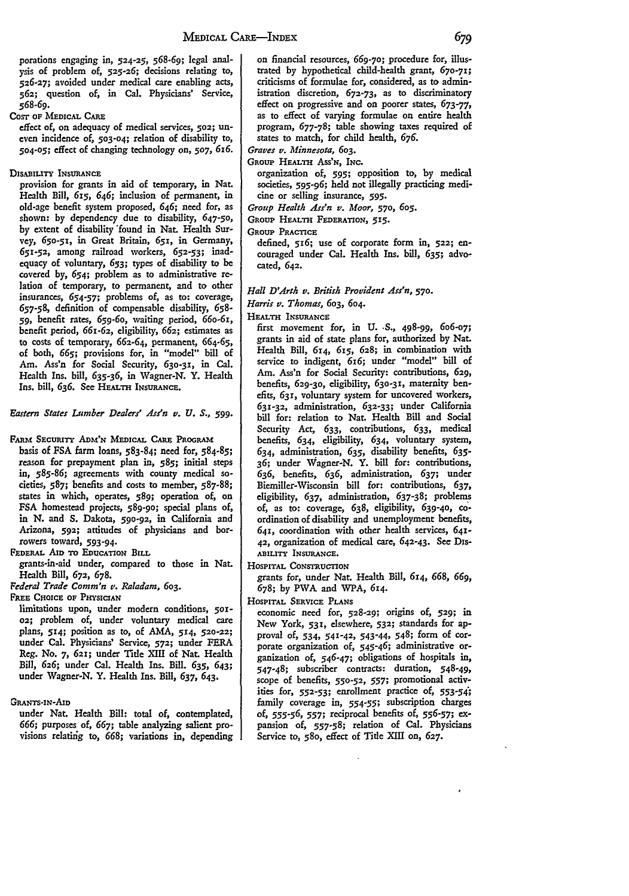porations engaging in, **524-25, 568-69;** legal analysis of problem of, **525-26;** decisions relating to, **526-27;** avoided under medical care enabling acts, **562;** question of, in Cal. Physicians' Service, *568-69.*

**COST OF MEDICAL** CARE

effect of, on adequacy of medical services, **502;** uneven incidence **of, 503-04;** relation of disability to, **504-05;** effect of changing technology on, **507,** 616.

**DISABILITY INSURANCE** 

provision for grants in aid of temporary, in Nat. Health Bill, *615, 646;* inclusion of permanent, in old-age benefit system proposed, 646; need for, as shown: by dependency due to disability, *647-50,* **by** extent of disability 'found in Nat. Health Survey, 65o-5x, in Great Britain, 651, in Germany, **651-52,** among railroad workers, **652-53;** inadequacy of voluntary, 653; types of disability to be covered **by,** 654; problem as to administrative relation of temporary, to permanent, and to other insurances, **654-57;** problems of, as to: coverage, **657-58,** definition of compensable disability, **658- 59,** benefit rates, 659-6o, waiting period, 66o-6s, benefit period, 661-62, eligibility, **662;** estimates as to costs of temporary, 662-64, permanent, 664-65, of both, **665;** provisions for, in "model" bill of Am. Ass'n for Social Security, 630-31, in Cal. Health Ins. **bill, 635-36,** in Wagner-N. Y. Health Ins. bill, 636. See HEALTH INSURANCE.

*Eastern States Lumber Dealers' Ass'n v. U. S.,* **599.**

FARM SECURITY ADM'N MEDICAL. CARE PROGRAM

basis of **FSA** farm loans, **583-84;** need for, 584-85; reason for prepayment plan in, **585;** initial steps in, **585-86;** agreements with county medical societies, **587;** benefits and costs to member, **587-88;** states in which, operates, 589; operation of, on **FSA** homestead projects, 589-9o; special plans of, in **N.** and **S.** Dakota, **590-92,** in California and Arizona, **592;** attitudes of physicians and borrowers toward, **593-94.**

**FEDERAL** AID **TO EDtCATION** BIL

grants-in-aid under, compared to those in Nat. Health Bill, 672, **678.**

*Federal Trade Comm'n v. Raladam, 603.*

FREE CHOICE **OF** PHYSICIAN

limitations upon, under modern conditions, **5ox-02;** problem of, under voluntary medical care plans, 514; position as to, of **AMA,** *514,* **520-22;** under Cal. Physicians' Service, **572;** under FERA Reg. No. **7, 621;** under Title XIII of Nat. Health Bill, 626; under Cal. Health Ins. Bill. **635,** 643; under Wagner-N. Y. Health Ins. Bill, 637, 643.

**GRANTS-IN-AID**

under Nat. Health Bill: total of, contemplated, 666; purposes of, 667; table analyzing salient provisions relatirig **to,** 668; variations in, depending

on financial resources, **669-70;** procedure for, illustrated **by** hypothetical child-health grant, **670-71;** criticisms of formulae for, considered, as to administration discretion, **672-73,** as to discriminatory effect on progressive and on poorer states, 673-77, as to effect of varying formulae on entire health program, **677-78;** table showing taxes required of states to match, for child health, **676.**

*Graves v. Minnesota,* 603.

GROUP HEALTH Ass'N, INC.

organization of, **595;** opposition to, by medical societies, 595-96; held not illegally practicing medicine or selling insurance, **595.**

*Group Health Ass'n v. Moor,* 570, 6o5.

**GROUP HEALTH FEDERATION, 515.**

**GROUP PRACTICE**

defined, **516;** use of corporate form in, **522;** encouraged under Cal. Health Ins. bill, **635;** advocated, 642.

*Hall D'Arth v. British Provident Ass'n, 570.*

*Harris v. Thomas,* **603, 604.**

HEALTH **INSURANCE** 

first movement for, in **U.** *S.,* 498-99, *6o6-o7;* grants in aid of state plans for, authorized by Nat. Health Bill, *614, 615,* 628; in combination with service to indigent, 616; under "model" bill of Am. Ass'n for Social Security: contributions, **629,** benefits, **629-30,** eligibility, 63o-3 **,** maternity benefits, 631, voluntary system for uncovered workers, 631-32, administration, **632-33;** under California bill for: relation to Nat. Health Bill and Social Security Act, 633, contributions, **633,** medical benefits, 634, eligibility, 634, voluntary system, 634, administration, **635,** disability benefits, **635- 36;** under Wagner-N. Y. bill for: contributions, **636,** benefits, **636,** administration, **637;** under Biemiller-Wisconsin bill for: contributions, **637,** eligibility, **637,** administration, **637-38;** problems of, as to: coverage, **638,** eligibility, 639-40, **co**ordination of disability and unemployment benefits, 641, coordination with other health services, 641- **42,** organization of medical care, 642-43. **See** Dss-**ABILITY INSURANCE.**

**HOSPITAL** CONSTRUcTION

grants for, under Nat. Health Bill, *614, 668, 669,* **678; by PWA** and WPA, 614.

HOSPITAL **SERVICE PLANS**

economic need for, **528-29;** origins **of, 529;** in New York, 531, elsewhere, **532;** standards for approval **of,** 534, **541-42,** 543-44, 548; **form of** corporate organization **of,** 545-46; administrative organization **of,** *546-47;* obligations of hospitals in, 547-48; subscriber contracts: duration, 548-49, scope of benefits, **550-52,** 557; promotional activities for, **552-53;** enrollment practice **of, 553-54;** family coverage in, **554-55;** subscription charges *of, 555-56,* **557;** reciprocal benefits **of, 556-57;** expansion **of, 557-58;** relation of Cal. Physicians Service to, **58o,** effect of Title XIII on, 627.